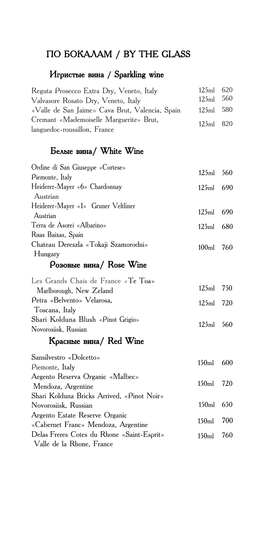# ПО БОКАЛАМ / BY THE GLASS

#### Игристые вина / Sparkling wine

| Reguta Prosecco Extra Dry, Veneto, Italy        | 125ml 620           |  |
|-------------------------------------------------|---------------------|--|
| Valvasore Rosato Dry, Veneto, Italy             | $125 \text{ml}$ 560 |  |
| «Valle de San Jaime» Cava Brut, Valencia, Spain | $125 \text{ml}$ 580 |  |
| Cremant «Mademoiselle Marguerite» Brut,         | $125ml$ 820         |  |
| languedoc-roussillon, France                    |                     |  |

#### Белые вина/ White Wine

| Ordine di San Giuseppe «Cortese»           | 125ml 560         |     |
|--------------------------------------------|-------------------|-----|
| Piemonte, Italy                            |                   |     |
| Heiderer-Mayer «6» Chardonnay              | 125ml             | 690 |
| Austrian                                   |                   |     |
| Heiderer-Mayer «1» Gruner Veltliner        | 125ml             | 690 |
| Austrian                                   |                   |     |
| Terra de Asorei «Albarino»                 | 125ml             | 680 |
| Rнаs Baixas, Spain                         |                   |     |
| Chateau Dereszla «Tokaji Szamorodni»       | 100ml             | 760 |
| Hungary                                    |                   |     |
| Розовые вина/ Rose Wine                    |                   |     |
| Les Grands Chais de France «Te Toa»        |                   |     |
| Marlborough, New Zeland                    | 125ml 750         |     |
| Petra «Belvento» Velarosa,                 | 125ml 720         |     |
| Toscana, Italy                             |                   |     |
| Shari Kolduna Blush «Pinot Grigio»         | 125ml             | 560 |
| Novorosiisk, Russian                       |                   |     |
| Красные вина/ Red Wine                     |                   |     |
| Sansilvestro «Dolcetto»                    |                   |     |
| Piemonte, Italy                            | 150ml             | 600 |
| Argento Reserva Organic «Malbec»           |                   |     |
| Mendoza, Argentine                         | 150ml             | 720 |
| Shari Kolduna Bricks Arrived, «Pinot Noir» |                   |     |
| Novorosiisk, Russian                       | 150 <sub>ml</sub> | 650 |
| Argento Estate Reserve Organic             |                   |     |
| «Cabernet Franc» Mendoza, Argentine        | 150ml             | 700 |
| Delas Freres Cotes du Rhone «Saint-Esprit» | 150ml             | 760 |
| Valle de la Rhone, France                  |                   |     |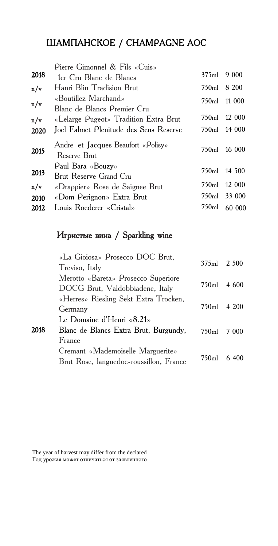# LIJAMITAHCKOE / CHAMPAGNE AOC

|      | Pierre Gimonnel & Fils «Cuis»                       |       |              |
|------|-----------------------------------------------------|-------|--------------|
| 2018 | 1er Cru Blanc de Blancs                             | 375ml | 9 000        |
| n/v  | Hanri Blin Tradision Brut                           | 750ml | 8 200        |
| n/v  | «Boutillez Marchand»<br>Blanc de Blancs Premier Cru | 750ml | 11 000       |
| n/v  | «Lelarge Pugeot» Tradition Extra Brut               | 750ml | 12 000       |
| 2020 | Joel Falmet Plenitude des Sens Reserve              |       | 750ml 14 000 |
|      |                                                     |       |              |
| 2015 | Andre et Jacques Beaufort «Polisy»<br>Reserve Brut  | 750ml | 16 000       |
| 2013 | Paul Bara «Bouzy»<br>Brut Reserve Grand Cru         |       | 750ml 14 500 |
| n/v  | «Drappier» Rose de Saignee Brut                     | 750ml | 12 000       |
| 2010 | «Dom Perignon» Extra Brut                           | 750ml | 33 000       |
| 2012 | Louis Roederer «Cristal»                            | 750ml | 60 000       |

### Игристые вина / Sparkling wine

|      | «La Gioiosa» Prosecco DOC Brut,<br>Treviso, Italy                            | $375$ ml | 2 500 |
|------|------------------------------------------------------------------------------|----------|-------|
|      | Merotto «Bareta» Prosecco Superiore<br>DOCG Brut, Valdobbiadene, Italy       | 750ml    | 4 600 |
|      | «Herres» Riesling Sekt Extra Trocken,<br>Germany                             | 750ml    | 4 200 |
| 2018 | Le Domaine d'Henri «8.21»<br>Blanc de Blancs Extra Brut, Burgundy,<br>France | 750ml    | 7 000 |
|      | Cremant «Mademoiselle Marguerite»<br>Brut Rose, languedoc-roussillon, France | 750ml    | 6.400 |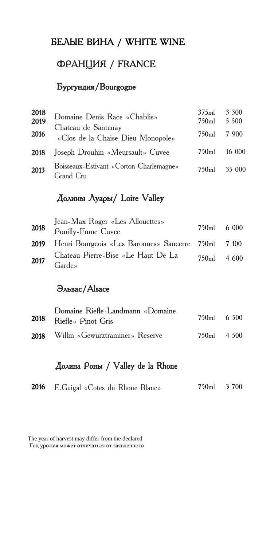### **БЕЛЫЕ ВИНА / WHITE WINE**

# ФРАНЦИЯ / FRANCE

#### Бургундия/Bourgogne

| 2018<br>2019<br>2016 | Domaine Denis Race «Chablis»<br>Chateau de Santenay<br>«Clos de la Chaise Dieu Monopole» | 375ml 3 300<br>750ml<br>750ml | 5 500<br>7 900 |
|----------------------|------------------------------------------------------------------------------------------|-------------------------------|----------------|
| 2018                 | Joseph Drouhin «Meursault» Cuvee                                                         | 750 <sub>ml</sub>             | 16 000         |
| 2013                 | Boisseaux-Estivant «Corton Charlemagne»<br>Grand Cru                                     | 750ml                         | 35 000         |

#### Долины Луары/ Loire Valley

| 2018 | Jean-Max Roger «Les Allouettes»<br>Pouilly-Fume Cuvee        | $750 \text{ml}$ 6 000 |  |
|------|--------------------------------------------------------------|-----------------------|--|
|      | 2019 Henri Bourgeois «Les Baronnes» Sancerre 750ml 7 100     |                       |  |
|      | Chateau Pierre-Bise «Le Haut De La<br>2017 Chateau<br>Garde» | 750ml 4 600           |  |

#### Эльзас/Alsace

| Domaine Riefle-Landmann «Domaine<br>2018 Riefle» Pinot Gris | $750ml$ 6.500 |  |
|-------------------------------------------------------------|---------------|--|
| 2018 Willm «Gewurztraminer» Reserve                         | $750ml$ 4 500 |  |

#### Долина Роны / Valley de la Rhone

|  | 2016 E.Guigal «Cotes du Rhone Blanc» | 750ml 3 700 |  |
|--|--------------------------------------|-------------|--|
|--|--------------------------------------|-------------|--|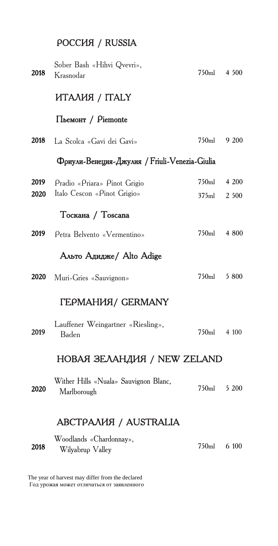# РОССИЯ / RUSSIA

| 2018         | Sober Bash «Hihvi Qvevri»,<br>Krasnodar                     | 750ml             | 4 500          |
|--------------|-------------------------------------------------------------|-------------------|----------------|
|              | ИТАЛИЯ / ITALY                                              |                   |                |
|              | $\prod_{b \in M}$ / Piemonte                                |                   |                |
| 2018         | La Scolca «Gavi dei Gavi»                                   | $750$ ml          | 9 200          |
|              | Фоиули-Венеция-Джулия / Friuli-Venezia-Giulia               |                   |                |
| 2019<br>2020 | Pradio «Priara» Pinot Grigio<br>Italo Cescon «Pinot Grigio» | 750ml<br>$375$ ml | 4 200<br>2 500 |
|              | Тоскана / Toscana                                           |                   |                |
| 2019         | Petra Belvento «Vermentino»                                 | 750ml             | 4 800          |
|              | Альто Адидже/ Alto Adige                                    |                   |                |
| <b>2020</b>  | Muri-Gries «Sauvignon»                                      | 750 <sub>ml</sub> | 5 800          |
|              | ГЕРМАНИЯ / GERMANY                                          |                   |                |
| 2019         | Lauffener Weingartner «Riesling»,<br>Baden                  | 750ml             | 4 100          |
|              | НОВАЯ ЗЕЛАНДИЯ / NEW ZELAND                                 |                   |                |
| 2020         | Wither Hills «Nuala» Sauvignon Blanc,<br>Marlborough        | 750ml             | 5 200          |
|              | ABCTPAAHA / AUSTRALIA                                       |                   |                |
| 2018         | Woodlands «Chardonnay»,<br>Wilyabrup Valley                 | $750$ ml          | 6 100          |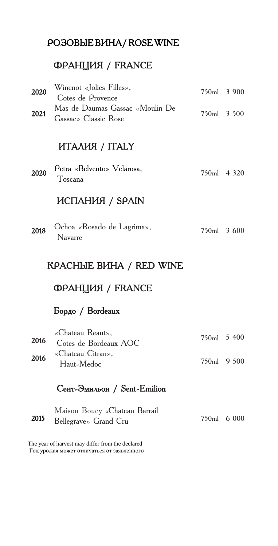### PO3OBЫE ВИНА/ ROSE WINE

#### ФРАНЦИЯ / FRANCE

| 2020 | Winenot «Jolies Filles»,<br>Cotes de Provence           |             | $750 \text{ml}$ 3 900 |
|------|---------------------------------------------------------|-------------|-----------------------|
| 2021 | Mas de Daumas Gassac «Moulin De<br>Gassac» Classic Rose | 750ml 3 500 |                       |

### ИТАЛИЯ / ITALY

| 2020 | Petra «Belvento» Velarosa, | 750ml 4 320 |  |
|------|----------------------------|-------------|--|
|      | 1 oscana                   |             |  |

#### ИСПАНИЯ / SPAIN

| 2018 | Ochoa «Rosado de Lagrima», | 750ml 3 600 |
|------|----------------------------|-------------|
|      | <b>Navarre</b>             |             |

### КРАСНЫЕ ВИНА / RED WINE

## ФРАНЦИЯ / FRANCE

### Бордо / Bordeaux

|      | «Chateau Reaut»,<br>2016 Cotes de Bordeaux AOC | $750 \text{ml}$ 5 400 |  |
|------|------------------------------------------------|-----------------------|--|
| 2016 | «Chateau Citran»,<br>Haut-Medoc                | $750 \text{ml}$ 9 500 |  |

#### Сент-Эмильон / Sent-Emilion

|      | Maison Bouey «Chateau Barrail |                       |  |
|------|-------------------------------|-----------------------|--|
| 2015 | Bellegrave» Grand Cru         | $750 \text{ml}$ 6 000 |  |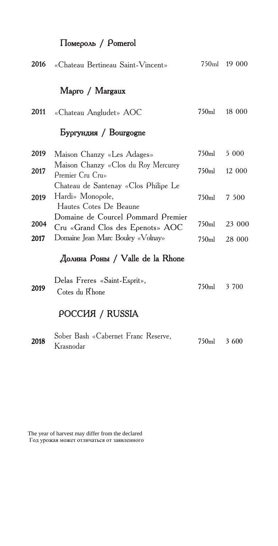### Помероль / Pomerol

| 2016 | «Chateau Bertineau Saint-Vincent»                                                  | 750ml             | 19 000 |
|------|------------------------------------------------------------------------------------|-------------------|--------|
|      | Mapro / Margaux                                                                    |                   |        |
| 2011 | «Chateau Angludet» AOC                                                             | 750 <sub>ml</sub> | 18 000 |
|      | Бургундия / Bourgogne                                                              |                   |        |
| 2019 | Maison Chanzy «Les Adages»                                                         | 750ml             | 5 000  |
| 2017 | Maison Chanzy «Clos du Roy Mercurey<br>Premier Cru Cru»                            | 750ml             | 12 000 |
| 2019 | Chateau de Santenay «Clos Philipe Le<br>Hardi» Monopole,<br>Hautes Cotes De Beaune | 750ml             | 7 500  |
| 2004 | Domaine de Courcel Pommard Premier<br>Cru «Grand Clos des Epenots» AOC             | 750ml             | 23 000 |
| 2017 | Domaine Jean Marc Bouley «Volnay»                                                  | 750ml             | 28 000 |
|      | Долина Роны / Valle de la Rhone                                                    |                   |        |
| 2019 | Delas Freres «Saint-Esprit»,<br>Cotes du Rhone                                     | 750ml             | 3 700  |
|      | <b>РОССИЯ / RUSSIA</b>                                                             |                   |        |
| 2018 | Sober Bash «Cabernet Franc Reserve,<br>Krasnodar                                   | 750ml             | 3 600  |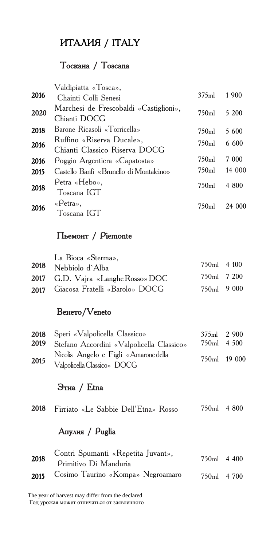# ИТАЛИЯ / ITALY

#### Òîñêàíà / Toscana

|      | Valdipiatta «Tosca»,                                       |                   |        |
|------|------------------------------------------------------------|-------------------|--------|
| 2016 | Chainti Colli Senesi                                       | $375$ ml          | 1 900  |
| 2020 | Marchesi de Frescobaldi «Castiglioni»,<br>Chianti DOCG     | 750ml             | 5 200  |
| 2018 | Barone Ricasoli «Torricella»                               | 750ml             | 5 600  |
| 2016 | Ruffino «Riserva Ducale»,<br>Chianti Classico Riserva DOCG | 750 <sub>ml</sub> | 6.600  |
| 2016 | Poggio Argentiera «Capatosta»                              | 750 <sub>ml</sub> | 7 000  |
| 2015 | Castello Banfi «Brunello di Montalcino»                    | 750 <sub>ml</sub> | 14 000 |
| 2018 | Petra «Hebo»,<br>Toscana IGT                               | 750 <sub>ml</sub> | 4 800  |
| 2016 | «Petra»,<br>Toscana IGT                                    | 750ml             | 24 000 |

## Пьемонт / Piemonte

| La Bioca «Sterma»,                  |                       |  |
|-------------------------------------|-----------------------|--|
| 2018 Nebbiolo d'Alba                | $750 \text{ml}$ 4 100 |  |
| 2017 G.D. Vajra «Langhe Rosso» DOC  | 750ml 7 200           |  |
| 2017 Giacosa Fratelli «Barolo» DOCG | $750 \text{ml}$ 9 000 |  |

### Венето/Veneto

|      | 2018 Speri «Valpolicella Classico»                                   | $375 \text{ml}$ 2.900 |  |
|------|----------------------------------------------------------------------|-----------------------|--|
|      | 2019 Stefano Accordini «Valpolicella Classico»                       | $750 \text{ml}$ 4 500 |  |
| 2015 | Nicolis Angelo e Figli «Amarone della<br>Valpolicella Classico» DOCG | 750ml 19 000          |  |

## Этна / Etna

| 2018 Firriato «Le Sabbie Dell'Etna» Rosso | 750ml 4 800 |  |
|-------------------------------------------|-------------|--|
| Апулия / Puglia                           |             |  |
| Contri Soumanti «Regetita Iuvant»         |             |  |

| 2018 | Contri Spunianti «Repetita Juvant»,<br>Primitivo Di Manduria | $750 \text{ml}$ 4 400 |  |
|------|--------------------------------------------------------------|-----------------------|--|
|      | 2015 Cosimo Taurino «Kompa» Negroamaro                       | $750 \text{ml}$ 4 700 |  |